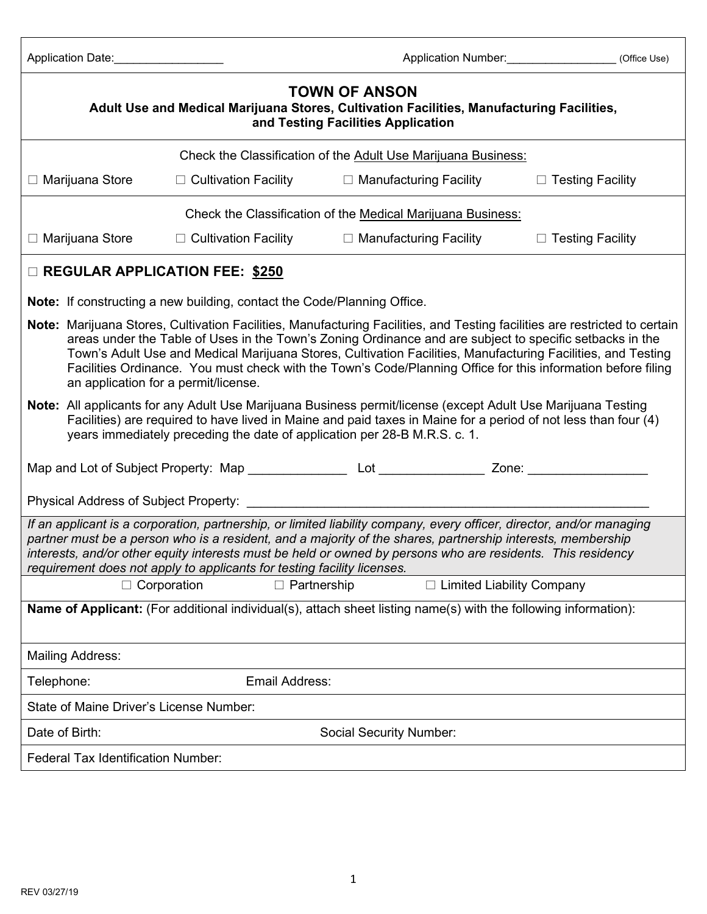| Application Date: |  |
|-------------------|--|
|-------------------|--|

| <b>TOWN OF ANSON</b><br>Adult Use and Medical Marijuana Stores, Cultivation Facilities, Manufacturing Facilities,<br>and Testing Facilities Application                                                                                                                                                                                                                                                                                                                                                        |                                                               |                    |                                |                             |  |
|----------------------------------------------------------------------------------------------------------------------------------------------------------------------------------------------------------------------------------------------------------------------------------------------------------------------------------------------------------------------------------------------------------------------------------------------------------------------------------------------------------------|---------------------------------------------------------------|--------------------|--------------------------------|-----------------------------|--|
|                                                                                                                                                                                                                                                                                                                                                                                                                                                                                                                | Check the Classification of the Adult Use Marijuana Business: |                    |                                |                             |  |
| $\Box$ Marijuana Store                                                                                                                                                                                                                                                                                                                                                                                                                                                                                         | $\Box$ Cultivation Facility                                   |                    | $\Box$ Manufacturing Facility  | $\Box$ Testing Facility     |  |
|                                                                                                                                                                                                                                                                                                                                                                                                                                                                                                                | Check the Classification of the Medical Marijuana Business:   |                    |                                |                             |  |
| $\Box$ Marijuana Store                                                                                                                                                                                                                                                                                                                                                                                                                                                                                         | $\Box$ Cultivation Facility                                   |                    | $\Box$ Manufacturing Facility  | $\Box$ Testing Facility     |  |
| <b>EXEGULAR APPLICATION FEE: \$250</b>                                                                                                                                                                                                                                                                                                                                                                                                                                                                         |                                                               |                    |                                |                             |  |
| <b>Note:</b> If constructing a new building, contact the Code/Planning Office.                                                                                                                                                                                                                                                                                                                                                                                                                                 |                                                               |                    |                                |                             |  |
| Note: Marijuana Stores, Cultivation Facilities, Manufacturing Facilities, and Testing facilities are restricted to certain<br>areas under the Table of Uses in the Town's Zoning Ordinance and are subject to specific setbacks in the<br>Town's Adult Use and Medical Marijuana Stores, Cultivation Facilities, Manufacturing Facilities, and Testing<br>Facilities Ordinance. You must check with the Town's Code/Planning Office for this information before filing<br>an application for a permit/license. |                                                               |                    |                                |                             |  |
| Note: All applicants for any Adult Use Marijuana Business permit/license (except Adult Use Marijuana Testing<br>Facilities) are required to have lived in Maine and paid taxes in Maine for a period of not less than four (4)<br>years immediately preceding the date of application per 28-B M.R.S. c. 1.                                                                                                                                                                                                    |                                                               |                    |                                |                             |  |
|                                                                                                                                                                                                                                                                                                                                                                                                                                                                                                                |                                                               |                    |                                |                             |  |
|                                                                                                                                                                                                                                                                                                                                                                                                                                                                                                                |                                                               |                    |                                |                             |  |
| If an applicant is a corporation, partnership, or limited liability company, every officer, director, and/or managing<br>partner must be a person who is a resident, and a majority of the shares, partnership interests, membership<br>interests, and/or other equity interests must be held or owned by persons who are residents. This residency<br>requirement does not apply to applicants for testing facility licenses.                                                                                 |                                                               |                    |                                |                             |  |
| $\Box$ Corporation                                                                                                                                                                                                                                                                                                                                                                                                                                                                                             |                                                               | $\Box$ Partnership |                                | □ Limited Liability Company |  |
| Name of Applicant: (For additional individual(s), attach sheet listing name(s) with the following information):                                                                                                                                                                                                                                                                                                                                                                                                |                                                               |                    |                                |                             |  |
| <b>Mailing Address:</b>                                                                                                                                                                                                                                                                                                                                                                                                                                                                                        |                                                               |                    |                                |                             |  |
| Telephone:                                                                                                                                                                                                                                                                                                                                                                                                                                                                                                     |                                                               | Email Address:     |                                |                             |  |
| State of Maine Driver's License Number:                                                                                                                                                                                                                                                                                                                                                                                                                                                                        |                                                               |                    |                                |                             |  |
| Date of Birth:                                                                                                                                                                                                                                                                                                                                                                                                                                                                                                 |                                                               |                    | <b>Social Security Number:</b> |                             |  |
| <b>Federal Tax Identification Number:</b>                                                                                                                                                                                                                                                                                                                                                                                                                                                                      |                                                               |                    |                                |                             |  |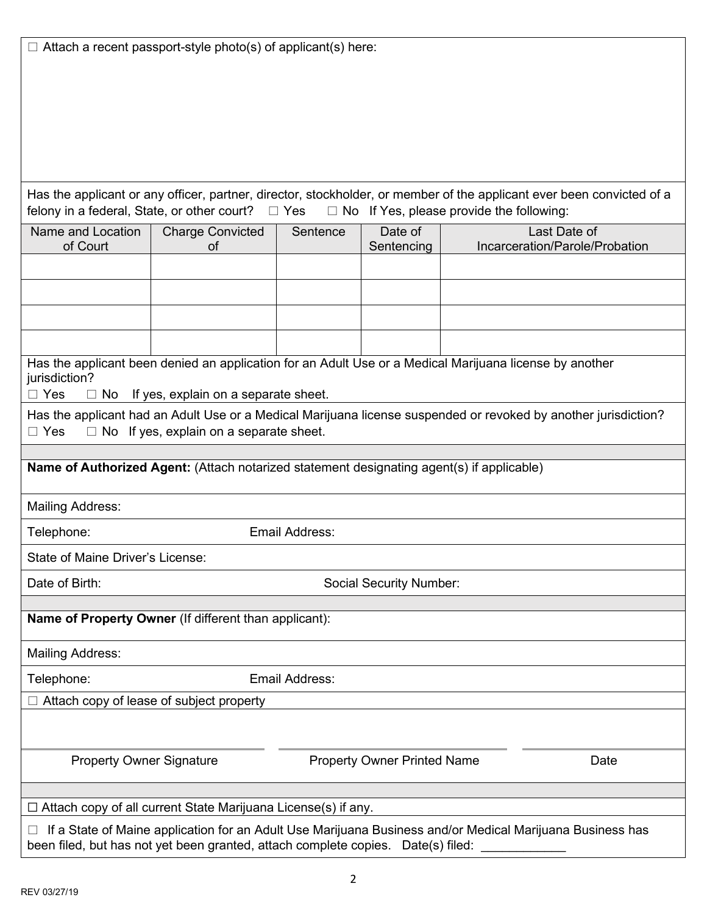Has the applicant or any officer, partner, director, stockholder, or member of the applicant ever been convicted of a felony in a federal, State, or other court?  $\Box$  Yes  $\Box$  No If Yes, please provide the following:

| Name and Location<br>of Court                                                                                                                                                            | <b>Charge Convicted</b><br>0f                                                             | Sentence | Date of<br>Sentencing              | Last Date of<br>Incarceration/Parole/Probation |  |
|------------------------------------------------------------------------------------------------------------------------------------------------------------------------------------------|-------------------------------------------------------------------------------------------|----------|------------------------------------|------------------------------------------------|--|
|                                                                                                                                                                                          |                                                                                           |          |                                    |                                                |  |
|                                                                                                                                                                                          |                                                                                           |          |                                    |                                                |  |
|                                                                                                                                                                                          |                                                                                           |          |                                    |                                                |  |
|                                                                                                                                                                                          |                                                                                           |          |                                    |                                                |  |
| Has the applicant been denied an application for an Adult Use or a Medical Marijuana license by another<br>jurisdiction?<br>$\Box$ Yes<br>$\Box$ No If yes, explain on a separate sheet. |                                                                                           |          |                                    |                                                |  |
| Has the applicant had an Adult Use or a Medical Marijuana license suspended or revoked by another jurisdiction?<br>$\Box$ No If yes, explain on a separate sheet.<br>$\Box$ Yes          |                                                                                           |          |                                    |                                                |  |
|                                                                                                                                                                                          |                                                                                           |          |                                    |                                                |  |
|                                                                                                                                                                                          | Name of Authorized Agent: (Attach notarized statement designating agent(s) if applicable) |          |                                    |                                                |  |
| <b>Mailing Address:</b>                                                                                                                                                                  |                                                                                           |          |                                    |                                                |  |
| Telephone:<br>Email Address:                                                                                                                                                             |                                                                                           |          |                                    |                                                |  |
| State of Maine Driver's License:                                                                                                                                                         |                                                                                           |          |                                    |                                                |  |
| Date of Birth:<br><b>Social Security Number:</b>                                                                                                                                         |                                                                                           |          |                                    |                                                |  |
|                                                                                                                                                                                          |                                                                                           |          |                                    |                                                |  |
| Name of Property Owner (If different than applicant):                                                                                                                                    |                                                                                           |          |                                    |                                                |  |
| <b>Mailing Address:</b>                                                                                                                                                                  |                                                                                           |          |                                    |                                                |  |
| Email Address:<br>Telephone:                                                                                                                                                             |                                                                                           |          |                                    |                                                |  |
| $\Box$ Attach copy of lease of subject property                                                                                                                                          |                                                                                           |          |                                    |                                                |  |
|                                                                                                                                                                                          |                                                                                           |          |                                    |                                                |  |
| <b>Property Owner Signature</b>                                                                                                                                                          |                                                                                           |          | <b>Property Owner Printed Name</b> | Date                                           |  |
|                                                                                                                                                                                          |                                                                                           |          |                                    |                                                |  |
| $\Box$ Attach copy of all current State Marijuana License(s) if any.                                                                                                                     |                                                                                           |          |                                    |                                                |  |
| If a State of Maine application for an Adult Use Marijuana Business and/or Medical Marijuana Business has                                                                                |                                                                                           |          |                                    |                                                |  |

ı Adult Use Marıjuana Business and/or Medical Marıjuana Business has been filed, but has not yet been granted, attach complete copies. Date(s) filed: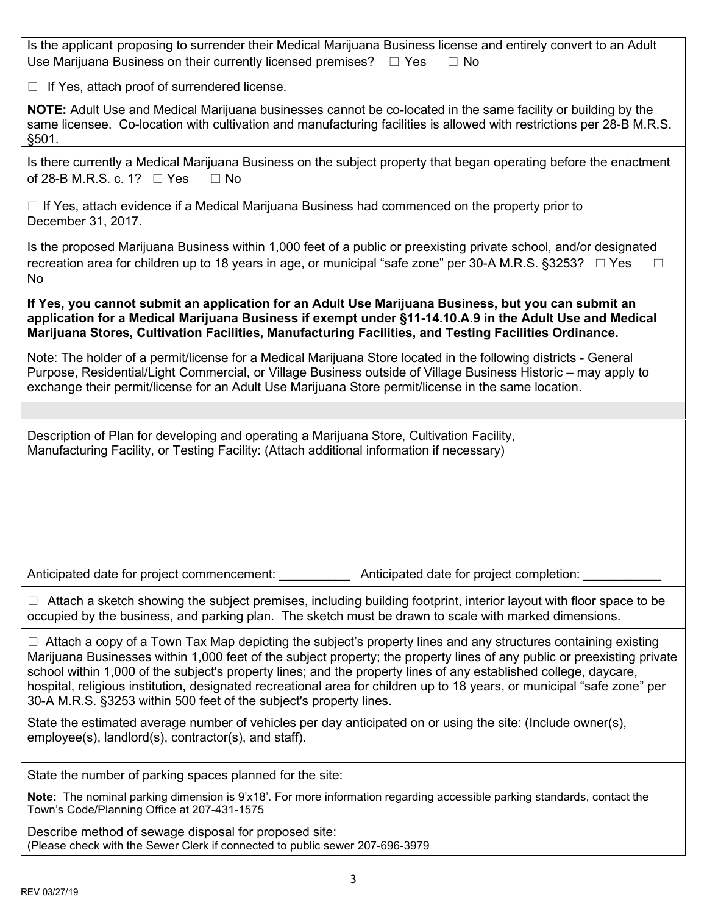| Is the applicant proposing to surrender their Medical Marijuana Business license and entirely convert to an Adult<br>Use Marijuana Business on their currently licensed premises? $\Box$ Yes<br>$\Box$ No                                                                                                                                                                                                                                                                                                                                                            |
|----------------------------------------------------------------------------------------------------------------------------------------------------------------------------------------------------------------------------------------------------------------------------------------------------------------------------------------------------------------------------------------------------------------------------------------------------------------------------------------------------------------------------------------------------------------------|
| $\Box$ If Yes, attach proof of surrendered license.                                                                                                                                                                                                                                                                                                                                                                                                                                                                                                                  |
| NOTE: Adult Use and Medical Marijuana businesses cannot be co-located in the same facility or building by the<br>same licensee. Co-location with cultivation and manufacturing facilities is allowed with restrictions per 28-B M.R.S.<br>§501.                                                                                                                                                                                                                                                                                                                      |
| Is there currently a Medical Marijuana Business on the subject property that began operating before the enactment<br>of 28-B M.R.S. c. 1? $\Box$ Yes<br>$\Box$ No                                                                                                                                                                                                                                                                                                                                                                                                    |
| $\Box$ If Yes, attach evidence if a Medical Marijuana Business had commenced on the property prior to<br>December 31, 2017.                                                                                                                                                                                                                                                                                                                                                                                                                                          |
| Is the proposed Marijuana Business within 1,000 feet of a public or preexisting private school, and/or designated<br>recreation area for children up to 18 years in age, or municipal "safe zone" per 30-A M.R.S. §3253? □ Yes<br>No                                                                                                                                                                                                                                                                                                                                 |
| If Yes, you cannot submit an application for an Adult Use Marijuana Business, but you can submit an<br>application for a Medical Marijuana Business if exempt under §11-14.10.A.9 in the Adult Use and Medical<br>Marijuana Stores, Cultivation Facilities, Manufacturing Facilities, and Testing Facilities Ordinance.                                                                                                                                                                                                                                              |
| Note: The holder of a permit/license for a Medical Marijuana Store located in the following districts - General<br>Purpose, Residential/Light Commercial, or Village Business outside of Village Business Historic – may apply to<br>exchange their permit/license for an Adult Use Marijuana Store permit/license in the same location.                                                                                                                                                                                                                             |
|                                                                                                                                                                                                                                                                                                                                                                                                                                                                                                                                                                      |
| Description of Plan for developing and operating a Marijuana Store, Cultivation Facility,<br>Manufacturing Facility, or Testing Facility: (Attach additional information if necessary)                                                                                                                                                                                                                                                                                                                                                                               |
|                                                                                                                                                                                                                                                                                                                                                                                                                                                                                                                                                                      |
| Anticipated date for project commencement:<br>Anticipated date for project completion:                                                                                                                                                                                                                                                                                                                                                                                                                                                                               |
| $\Box$ Attach a sketch showing the subject premises, including building footprint, interior layout with floor space to be<br>occupied by the business, and parking plan. The sketch must be drawn to scale with marked dimensions.                                                                                                                                                                                                                                                                                                                                   |
| $\Box$ Attach a copy of a Town Tax Map depicting the subject's property lines and any structures containing existing<br>Marijuana Businesses within 1,000 feet of the subject property; the property lines of any public or preexisting private<br>school within 1,000 of the subject's property lines; and the property lines of any established college, daycare,<br>hospital, religious institution, designated recreational area for children up to 18 years, or municipal "safe zone" per<br>30-A M.R.S. §3253 within 500 feet of the subject's property lines. |
| State the estimated average number of vehicles per day anticipated on or using the site: (Include owner(s),<br>employee(s), landlord(s), contractor(s), and staff).                                                                                                                                                                                                                                                                                                                                                                                                  |
| State the number of parking spaces planned for the site:                                                                                                                                                                                                                                                                                                                                                                                                                                                                                                             |
| Note: The nominal parking dimension is 9'x18'. For more information regarding accessible parking standards, contact the<br>Town's Code/Planning Office at 207-431-1575                                                                                                                                                                                                                                                                                                                                                                                               |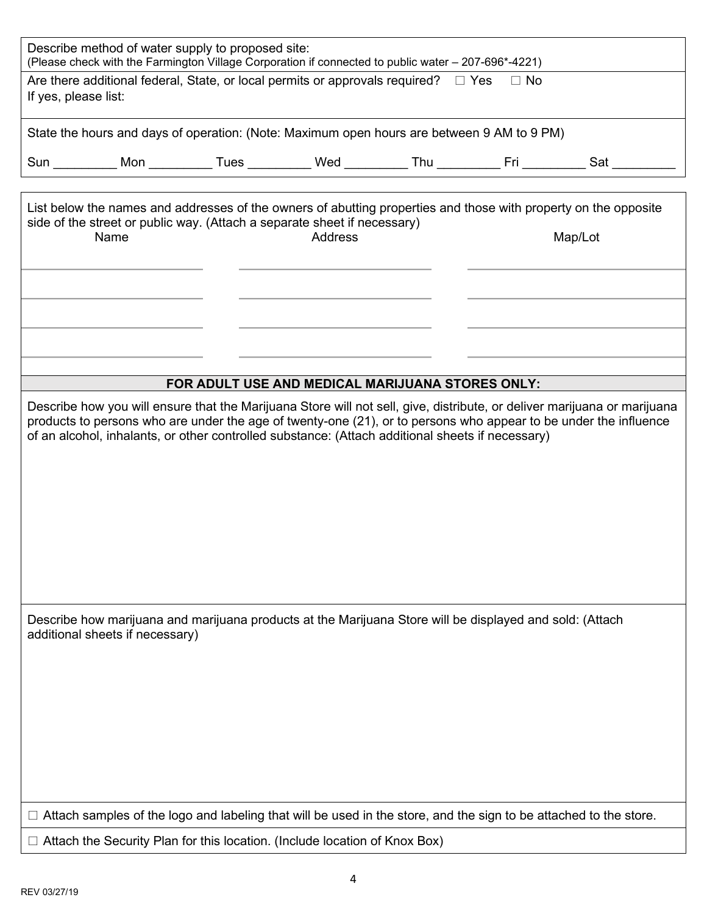| Describe method of water supply to proposed site:<br>(Please check with the Farmington Village Corporation if connected to public water - 207-696*-4221) |  |                                                  |  |  |                                                                                                                            |
|----------------------------------------------------------------------------------------------------------------------------------------------------------|--|--------------------------------------------------|--|--|----------------------------------------------------------------------------------------------------------------------------|
| Are there additional federal, State, or local permits or approvals required? $\square$ Yes<br>$\Box$ No<br>If yes, please list:                          |  |                                                  |  |  |                                                                                                                            |
| State the hours and days of operation: (Note: Maximum open hours are between 9 AM to 9 PM)                                                               |  |                                                  |  |  |                                                                                                                            |
| Sun __________ Mon __________ Tues __________ Wed _________ Thu __________ Fri _________                                                                 |  |                                                  |  |  | <b>Sat</b>                                                                                                                 |
| side of the street or public way. (Attach a separate sheet if necessary)<br>Name                                                                         |  | <b>Address</b>                                   |  |  | List below the names and addresses of the owners of abutting properties and those with property on the opposite<br>Map/Lot |
|                                                                                                                                                          |  |                                                  |  |  |                                                                                                                            |
|                                                                                                                                                          |  |                                                  |  |  |                                                                                                                            |
|                                                                                                                                                          |  |                                                  |  |  |                                                                                                                            |
|                                                                                                                                                          |  | FOR ADULT USE AND MEDICAL MARIJUANA STORES ONLY: |  |  |                                                                                                                            |
| of an alcohol, inhalants, or other controlled substance: (Attach additional sheets if necessary)                                                         |  |                                                  |  |  | products to persons who are under the age of twenty-one (21), or to persons who appear to be under the influence           |
| Describe how marijuana and marijuana products at the Marijuana Store will be displayed and sold: (Attach<br>additional sheets if necessary)              |  |                                                  |  |  |                                                                                                                            |
|                                                                                                                                                          |  |                                                  |  |  | Attach samples of the logo and labeling that will be used in the store, and the sign to be attached to the store.          |
| Attach the Security Plan for this location. (Include location of Knox Box)                                                                               |  |                                                  |  |  |                                                                                                                            |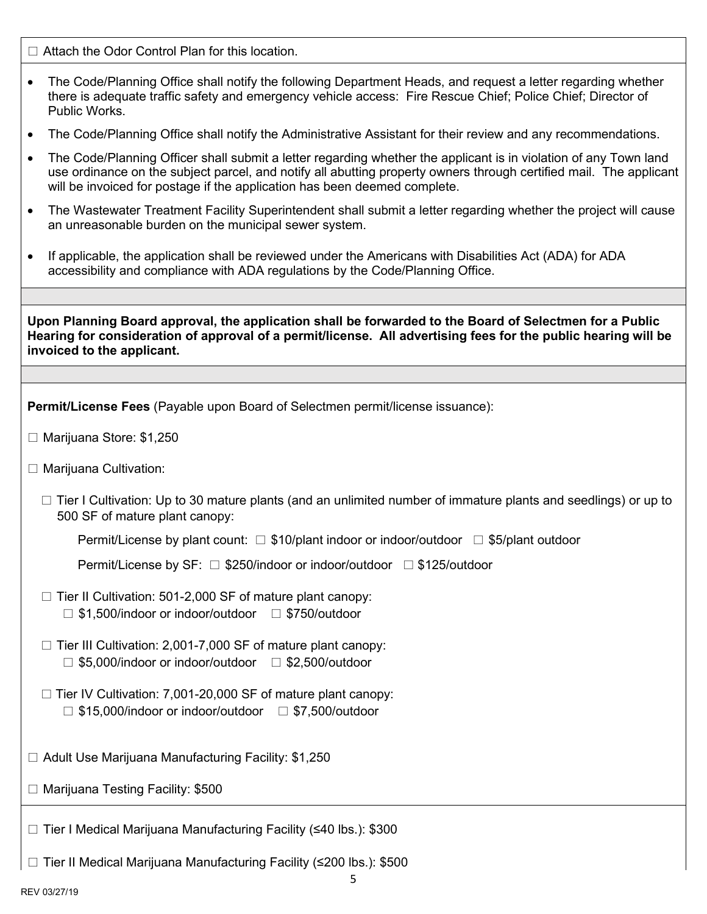$\Box$  Attach the Odor Control Plan for this location.

- The Code/Planning Office shall notify the following Department Heads, and request a letter regarding whether there is adequate traffic safety and emergency vehicle access: Fire Rescue Chief; Police Chief; Director of Public Works.
- The Code/Planning Office shall notify the Administrative Assistant for their review and any recommendations.
- The Code/Planning Officer shall submit a letter regarding whether the applicant is in violation of any Town land use ordinance on the subject parcel, and notify all abutting property owners through certified mail. The applicant will be invoiced for postage if the application has been deemed complete.
- The Wastewater Treatment Facility Superintendent shall submit a letter regarding whether the project will cause an unreasonable burden on the municipal sewer system.
- If applicable, the application shall be reviewed under the Americans with Disabilities Act (ADA) for ADA accessibility and compliance with ADA regulations by the Code/Planning Office.

**Upon Planning Board approval, the application shall be forwarded to the Board of Selectmen for a Public Hearing for consideration of approval of a permit/license. All advertising fees for the public hearing will be invoiced to the applicant.** 

**Permit/License Fees** (Payable upon Board of Selectmen permit/license issuance):

- □ Marijuana Store: \$1,250
- $\Box$  Marijuana Cultivation:
	- □ Tier I Cultivation: Up to 30 mature plants (and an unlimited number of immature plants and seedlings) or up to 500 SF of mature plant canopy:

Permit/License by plant count:  $\Box$  \$10/plant indoor or indoor/outdoor  $\Box$  \$5/plant outdoor

Permit/License by SF:  $\Box$  \$250/indoor or indoor/outdoor  $\Box$  \$125/outdoor

- $\Box$  Tier II Cultivation: 501-2,000 SF of mature plant canopy:  $\Box$  \$1,500/indoor or indoor/outdoor  $\Box$  \$750/outdoor
- $\Box$  Tier III Cultivation: 2,001-7,000 SF of mature plant canopy:  $\Box$  \$5,000/indoor or indoor/outdoor  $\Box$  \$2,500/outdoor
- $\Box$  Tier IV Cultivation: 7,001-20,000 SF of mature plant canopy:  $\Box$  \$15,000/indoor or indoor/outdoor  $\Box$  \$7,500/outdoor
- $\Box$  Adult Use Marijuana Manufacturing Facility: \$1,250
- $\Box$  Marijuana Testing Facility: \$500

Tier I Medical Marijuana Manufacturing Facility (≤40 lbs.): \$300

Tier II Medical Marijuana Manufacturing Facility (≤200 lbs.): \$500